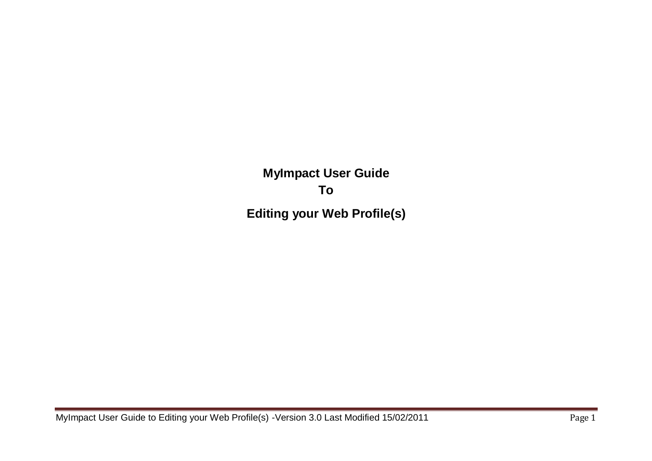**MyImpact User Guide To Editing your Web Profile(s)**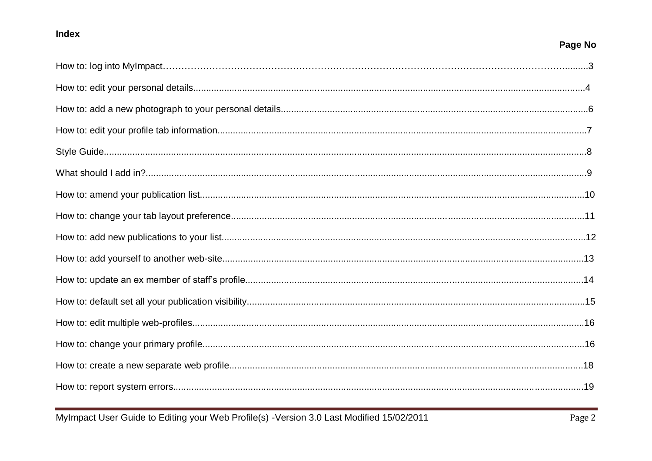## Index

# Page No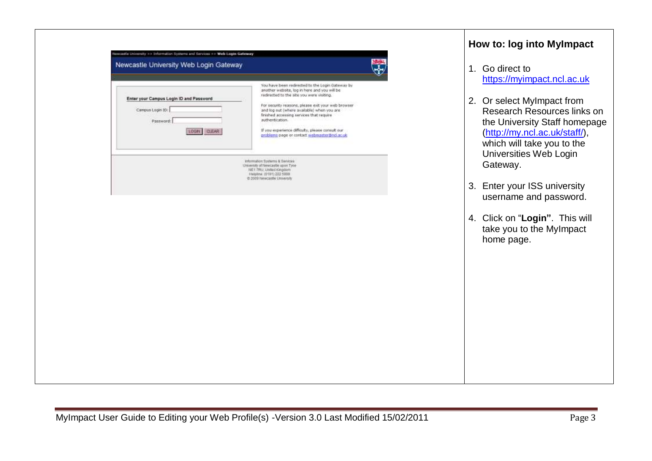| Enter your Campus Login ID and Password | You have been redirected to the Login Gateway by<br>another website, log in here and you will be<br>redirected to the site you were visiting.                   |
|-----------------------------------------|-----------------------------------------------------------------------------------------------------------------------------------------------------------------|
| Campus Login 101<br>Password:           | For security reasons, please exit your web browser<br>and log out (where available) when you are<br>finished accessing services that require<br>authentication. |
| LOGIN CLEAR                             | If you experience difficulty, please consult our<br>problems page or contact mebmaster@nd.ac.uk                                                                 |
|                                         | Information Systems & Services<br>University of Newcastle upon Tyne-<br>NE1 7RU, United Kingdom<br>Helphne (0191) 222 5090                                      |
|                                         | @ 2009 Newcastle University                                                                                                                                     |
|                                         |                                                                                                                                                                 |
|                                         |                                                                                                                                                                 |
|                                         |                                                                                                                                                                 |
|                                         |                                                                                                                                                                 |
|                                         |                                                                                                                                                                 |
|                                         |                                                                                                                                                                 |

#### **How to: log into MyImpact**

- . Go direct to [https://myimpact.ncl.ac.uk](https://myimpact.ncl.ac.uk/)
- 2. Or select MyImpact from Research Resources links on the University Staff homepage [\(http://my.ncl.ac.uk/staff/\)](http://my.ncl.ac.uk/staff/), which will take you to the Universities Web Login Gateway.
- **Enter your ISS university** username and password.
- 4. Click on "**Login"**. This will take you to the MyImpact home page.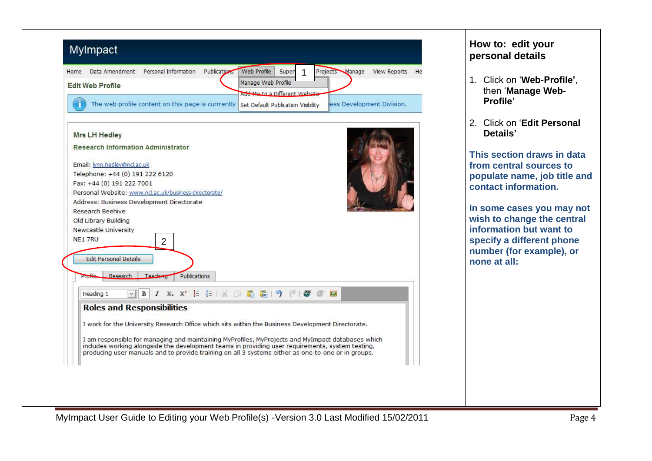|         | <b>Edit Web Profile</b>                                                                                                                                                                                |                |              | Manage Web Profile                                                             |  |                |                           |
|---------|--------------------------------------------------------------------------------------------------------------------------------------------------------------------------------------------------------|----------------|--------------|--------------------------------------------------------------------------------|--|----------------|---------------------------|
|         |                                                                                                                                                                                                        |                |              | Add Me to a Different Website                                                  |  |                |                           |
|         | The web profile content on this page is currrently                                                                                                                                                     |                |              | Set Default Publication Visibility                                             |  |                | ess Development Division. |
|         |                                                                                                                                                                                                        |                |              |                                                                                |  |                |                           |
|         | <b>Mrs LH Hedley</b>                                                                                                                                                                                   |                |              |                                                                                |  |                |                           |
|         | <b>Research Information Administrator</b>                                                                                                                                                              |                |              |                                                                                |  |                |                           |
|         |                                                                                                                                                                                                        |                |              |                                                                                |  |                |                           |
|         | Email: <i>lynn.hedley@ncl.ac.uk</i>                                                                                                                                                                    |                |              |                                                                                |  |                |                           |
|         | Telephone: +44 (0) 191 222 6120                                                                                                                                                                        |                |              |                                                                                |  |                |                           |
|         | Fax: +44 (0) 191 222 7001                                                                                                                                                                              |                |              |                                                                                |  |                |                           |
|         |                                                                                                                                                                                                        |                |              |                                                                                |  |                |                           |
|         | Personal Website: www.ncl.ac.uk/business-directorate/                                                                                                                                                  |                |              |                                                                                |  |                |                           |
|         | Address: Business Development Directorate                                                                                                                                                              |                |              |                                                                                |  |                |                           |
|         | Research Beehive                                                                                                                                                                                       |                |              |                                                                                |  |                |                           |
|         | Old Library Building                                                                                                                                                                                   |                |              |                                                                                |  |                |                           |
| NE1 7RU | Newcastle University                                                                                                                                                                                   |                |              |                                                                                |  |                |                           |
|         |                                                                                                                                                                                                        | $\overline{2}$ |              |                                                                                |  |                |                           |
|         | <b>Edit Personal Details</b>                                                                                                                                                                           |                |              |                                                                                |  |                |                           |
|         |                                                                                                                                                                                                        |                |              |                                                                                |  |                |                           |
|         | Research<br>Profile                                                                                                                                                                                    | Teaching       | Publications |                                                                                |  |                |                           |
|         |                                                                                                                                                                                                        |                |              |                                                                                |  |                |                           |
|         | Heading 1<br>$\checkmark$                                                                                                                                                                              | B              |              | $I$ x, $X'$ $\vdash$ $\vdash$ $\mathbb{R}$ $\land$ $\Box$ $\Box$ $\Box$ $\Box$ |  | $\blacksquare$ |                           |
|         | <b>Roles and Responsibilities</b>                                                                                                                                                                      |                |              |                                                                                |  |                |                           |
|         |                                                                                                                                                                                                        |                |              |                                                                                |  |                |                           |
|         | I work for the University Research Office which sits within the Business Development Directorate.                                                                                                      |                |              |                                                                                |  |                |                           |
|         | I am responsible for managing and maintaining MyProfiles, MyProjects and MyImpact databases which                                                                                                      |                |              |                                                                                |  |                |                           |
|         | includes working alongside the development teams in providing user requirements, system testing,<br>producing user manuals and to provide training on all 3 systems either as one-to-one or in groups. |                |              |                                                                                |  |                |                           |

#### **How to: edit your personal details**

- 1. Click on "**Web-Profile"**, then "**Manage Web-Profile"**
- 2. Click on "**Edit Personal Details"**

**This section draws in data from central sources to populate name, job title and contact information.** 

**In some cases you may not wish to change the central information but want to specify a different phone number (for example), or none at all:**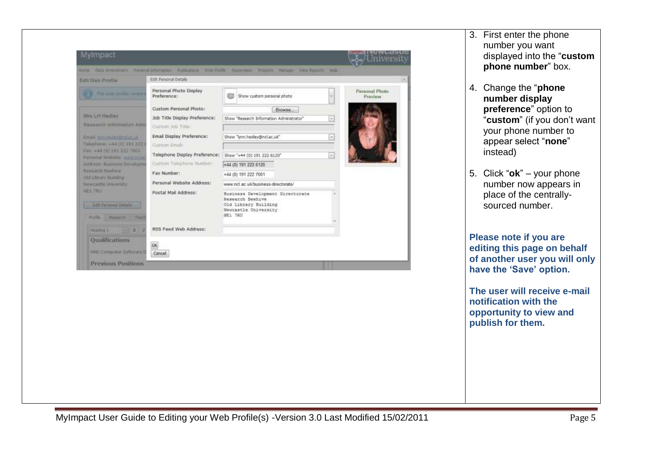

3. First enter the phone number you want displayed into the "**custom phone number**" box.

- 4. Change the "**phone number display preference**" option to "**custom**" (if you don"t want your phone number to appear select "**none**" instead)
- 5. Click "**ok**" your phone number now appears in place of the centrallysourced number.

**Please note if you are editing this page on behalf of another user you will only have the "Save" option.** 

**The user will receive e-mail notification with the opportunity to view and publish for them.**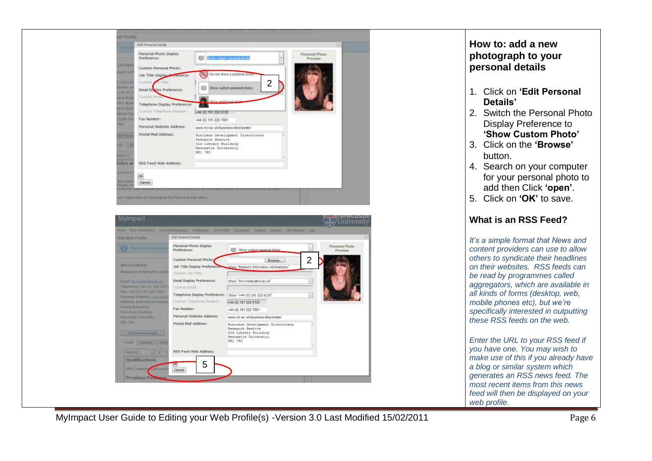

| Edit Web Profile                                           | Edit Personal Details                              |                                                                                                                 |                     | (m)                       |
|------------------------------------------------------------|----------------------------------------------------|-----------------------------------------------------------------------------------------------------------------|---------------------|---------------------------|
| The was profile contor                                     | Personal Photo Display<br>Preference:              | Show custom personal abota                                                                                      |                     | Personal Photo<br>Preview |
|                                                            | Custom Personal Photo;                             | <b>Browse</b>                                                                                                   | $\overline{2}$      |                           |
| Mrs LH Hadley<br>Research Information Admi                 | Job Title Display Preference.<br>Custom Job Title: | Show "Research Information Administrator"                                                                       |                     |                           |
| Email: Mill-heder@oduc.uk                                  | Email Display Preference:                          | Show "lynn.hedley@ncl.ac.uk"                                                                                    | $\omega$            |                           |
| Talephane: +4# (0) 191 222 {                               | Custom Email:                                      |                                                                                                                 |                     |                           |
| Fac +44 (0) 191 222 7001<br>Personal Wallisher annis State | Telephone Display Preference:                      | Show "+44 (0) 191 222 6120"                                                                                     | $\overline{\times}$ |                           |
| Address: Business Developme                                | Custom Telephone Tiumbert.                         | +44 (0) 191 222 6120                                                                                            |                     |                           |
| <b>Research Routvie</b><br>Old Library Building            | Fax Number:                                        | +44 (0) 191 222 7001                                                                                            |                     |                           |
| Networkert to University                                   | Personal Website Address:                          | www.ncl.ac.uk/business-directorate/                                                                             |                     |                           |
| neit 7m3<br>Kill Fernand Details<br>Druffe Research Twart  | Postal Mail Address:                               | Business Development Directorate<br>Research Beehive<br>Old Library Building<br>Newcastle University<br>NE1 7BU |                     |                           |
| $= 1$<br>Haiding's                                         | RSS Feed Web Address:                              |                                                                                                                 |                     |                           |
| Qualifications                                             |                                                    |                                                                                                                 |                     |                           |
| HRID Computy Software D                                    | 5<br><b>UK</b><br>Cancel                           |                                                                                                                 |                     |                           |

## **How to: add a new photograph to your personal details**

- 1. Click on **"Edit Personal Details"**
- 2. Switch the Personal Photo Display Preference to **"Show Custom Photo"**
- 3. Click on the **"Browse"** button.
- 4. Search on your computer for your personal photo to add then Click **"open"**.
- 5. Click on **"OK"** to save.

#### **What is an RSS Feed?**

*It's a simple format that News and content providers can use to allow others to syndicate their headlines on their websites. RSS feeds can be read by programmes called aggregators, which are available in all kinds of forms (desktop, web, mobile phones etc), but we're specifically interested in outputting these RSS feeds on the web.*

*Enter the URL to your RSS feed if you have one. You may wish to make use of this if you already have a blog or similar system which generates an RSS news feed. The most recent items from this news feed will then be displayed on your web profile.*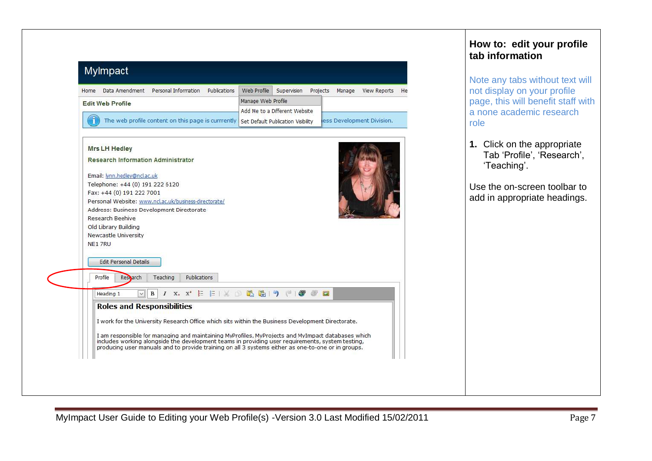| Data Amendment Personal Information<br>Publications<br>Home                                                                                                                                            | Web Profile        | Supervision                   | Projects | Manage | View Reports              | He |
|--------------------------------------------------------------------------------------------------------------------------------------------------------------------------------------------------------|--------------------|-------------------------------|----------|--------|---------------------------|----|
| <b>Edit Web Profile</b>                                                                                                                                                                                | Manage Web Profile |                               |          |        |                           |    |
|                                                                                                                                                                                                        |                    | Add Me to a Different Website |          |        |                           |    |
| The web profile content on this page is currrently Set Default Publication Visibility                                                                                                                  |                    |                               |          |        | ess Development Division. |    |
|                                                                                                                                                                                                        |                    |                               |          |        |                           |    |
| <b>Mrs LH Hedley</b>                                                                                                                                                                                   |                    |                               |          |        |                           |    |
| <b>Research Information Administrator</b>                                                                                                                                                              |                    |                               |          |        |                           |    |
| Email: lynn.hedley@ncl.ac.uk                                                                                                                                                                           |                    |                               |          |        |                           |    |
| Telephone: +44 (0) 191 222 6120                                                                                                                                                                        |                    |                               |          |        |                           |    |
| Fax: +44 (0) 191 222 7001                                                                                                                                                                              |                    |                               |          |        |                           |    |
| Personal Website: www.ncl.ac.uk/business-directorate/                                                                                                                                                  |                    |                               |          |        |                           |    |
|                                                                                                                                                                                                        |                    |                               |          |        |                           |    |
| Address: Business Development Directorate                                                                                                                                                              |                    |                               |          |        |                           |    |
| Research Beehive                                                                                                                                                                                       |                    |                               |          |        |                           |    |
| Old Library Building                                                                                                                                                                                   |                    |                               |          |        |                           |    |
| Newcastle University<br>NE1 7RU                                                                                                                                                                        |                    |                               |          |        |                           |    |
|                                                                                                                                                                                                        |                    |                               |          |        |                           |    |
| <b>Edit Personal Details</b>                                                                                                                                                                           |                    |                               |          |        |                           |    |
|                                                                                                                                                                                                        |                    |                               |          |        |                           |    |
| Profile<br>Research<br>Teaching<br><b>Publications</b>                                                                                                                                                 |                    |                               |          |        |                           |    |
| $I$ X <sub>2</sub> X <sup>2</sup> $E$ $E$   $E$   $E$   $E$<br>$\mathbf{B}$<br>Heading 1<br>$\checkmark$                                                                                               | 品り                 | $F^1$<br>G                    | $\Box$   |        |                           |    |
|                                                                                                                                                                                                        |                    |                               |          |        |                           |    |
| <b>Roles and Responsibilities</b>                                                                                                                                                                      |                    |                               |          |        |                           |    |
| I work for the University Research Office which sits within the Business Development Directorate.                                                                                                      |                    |                               |          |        |                           |    |
| I am responsible for managing and maintaining MyProfiles, MyProjects and MyImpact databases which                                                                                                      |                    |                               |          |        |                           |    |
| includes working alongside the development teams in providing user requirements, system testing,<br>producing user manuals and to provide training on all 3 systems either as one-to-one or in groups. |                    |                               |          |        |                           |    |

# **How to: edit your profile tab information**

Note any tabs without text will not display on your profile page, this will benefit staff with a none academic research role

**1.** Click on the appropriate Tab 'Profile', 'Research', "Teaching".

Use the on-screen toolbar to add in appropriate headings.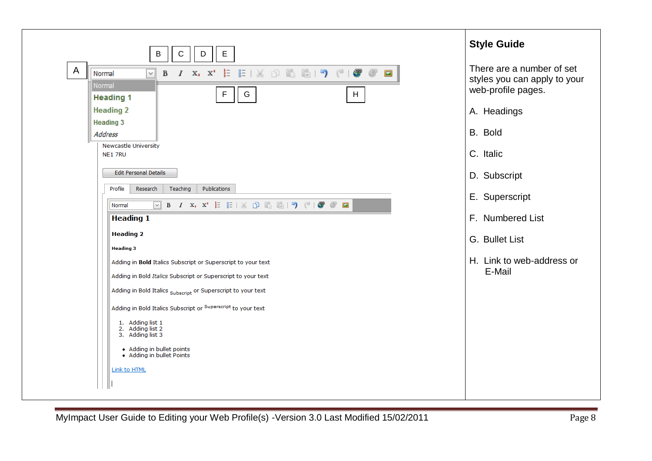| E<br>B<br>С<br>D                                                                                                                                                                                                                                                                                                                                                                                          | <b>Style Guide</b>                                                              |
|-----------------------------------------------------------------------------------------------------------------------------------------------------------------------------------------------------------------------------------------------------------------------------------------------------------------------------------------------------------------------------------------------------------|---------------------------------------------------------------------------------|
| $\mathsf{A}$<br><b>B</b> $I$ $X_2$ $X^2$ $\vdash$ $E$ $\vdash$ $X_1$ $\Box$ $E$ $\vdash$ $\lnot$ $\lnot$ $\lnot$ $\lnot$ $\lnot$ $\lnot$ $\lnot$ $\lnot$ $\lnot$ $\lnot$ $\lnot$ $\lnot$ $\lnot$ $\lnot$ $\lnot$ $\lnot$ $\lnot$ $\lnot$ $\lnot$ $\lnot$ $\lnot$ $\lnot$ $\lnot$ $\lnot$ $\lnot$ $\lnot$ $\lnot$ $\$<br>$\blacksquare$<br>Normal<br>$\vee$<br>Normal<br>${\mathsf G}$<br>F<br>$\mathsf H$ | There are a number of set<br>styles you can apply to your<br>web-profile pages. |
| <b>Heading 1</b><br><b>Heading 2</b><br><b>Heading 3</b>                                                                                                                                                                                                                                                                                                                                                  | A. Headings                                                                     |
| Address                                                                                                                                                                                                                                                                                                                                                                                                   | B. Bold                                                                         |
| <b>Newcastle University</b><br>NE1 7RU                                                                                                                                                                                                                                                                                                                                                                    | C. Italic                                                                       |
| <b>Edit Personal Details</b>                                                                                                                                                                                                                                                                                                                                                                              | D. Subscript                                                                    |
| Teaching<br>Publications<br>Profile<br>Research                                                                                                                                                                                                                                                                                                                                                           | E. Superscript                                                                  |
| $\boxed{\vee}$ B $I$ X, X <sup>2</sup> $\frac{1}{2}$ $\frac{1}{2}$ $\frac{1}{2}$ $\frac{1}{2}$ $\frac{1}{2}$ $\frac{1}{2}$ $\frac{1}{2}$ $\frac{1}{2}$ $\frac{1}{2}$ $\frac{1}{2}$ $\frac{1}{2}$ $\frac{1}{2}$ $\frac{1}{2}$ $\frac{1}{2}$ $\frac{1}{2}$<br>Normal<br><b>Heading 1</b>                                                                                                                    | F. Numbered List                                                                |
| <b>Heading 2</b>                                                                                                                                                                                                                                                                                                                                                                                          | G. Bullet List                                                                  |
| <b>Heading 3</b><br>Adding in <b>Bold</b> Italics Subscript or Superscript to your text<br>Adding in Bold Italics Subscript or Superscript to your text                                                                                                                                                                                                                                                   | H. Link to web-address or<br>E-Mail                                             |
| Adding in Bold Italics Subscript or Superscript to your text                                                                                                                                                                                                                                                                                                                                              |                                                                                 |
| Adding in Bold Italics Subscript or Superscript to your text                                                                                                                                                                                                                                                                                                                                              |                                                                                 |
| 1. Adding list 1<br>2. Adding list 2<br>3. Adding list 3                                                                                                                                                                                                                                                                                                                                                  |                                                                                 |
| • Adding in bullet points<br>• Adding in bullet Points                                                                                                                                                                                                                                                                                                                                                    |                                                                                 |
| Link to HTML                                                                                                                                                                                                                                                                                                                                                                                              |                                                                                 |
|                                                                                                                                                                                                                                                                                                                                                                                                           |                                                                                 |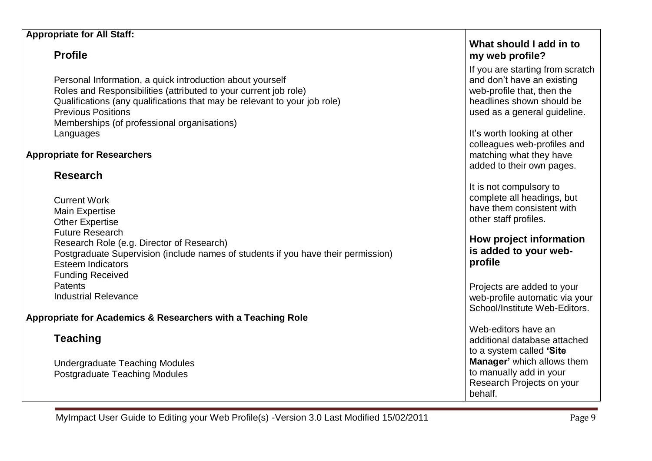#### **Appropriate for All Staff:**

# **Profile**

Personal Information, a quick introduction about yourself Roles and Responsibilities (attributed to your current job role) Qualifications (any qualifications that may be relevant to your job role) Previous Positions Memberships (of professional organisations) Languages

#### **Appropriate for Researchers**

# **Research**

| <b>Current Work</b>                                                               |
|-----------------------------------------------------------------------------------|
| <b>Main Expertise</b>                                                             |
| <b>Other Expertise</b>                                                            |
| <b>Future Research</b>                                                            |
| Research Role (e.g. Director of Research)                                         |
| Postgraduate Supervision (include names of students if you have their permission) |
| <b>Esteem Indicators</b>                                                          |
| <b>Funding Received</b>                                                           |
| <b>Patents</b>                                                                    |
| <b>Industrial Relevance</b>                                                       |

## **Appropriate for Academics & Researchers with a Teaching Role**

# **Teaching**

Undergraduate Teaching Modules Postgraduate Teaching Modules

# **What should I add in to my web profile?**

If you are starting from scratch and don"t have an existing web-profile that, then the headlines shown should be used as a general guideline.

It's worth looking at other colleagues web-profiles and matching what they have added to their own pages.

It is not compulsory to complete all headings, but have them consistent with other staff profiles.

**How project information is added to your webprofile**

Projects are added to your web-profile automatic via your School/Institute Web-Editors.

Web-editors have an additional database attached to a system called **"Site Manager"** which allows them to manually add in your Research Projects on your behalf.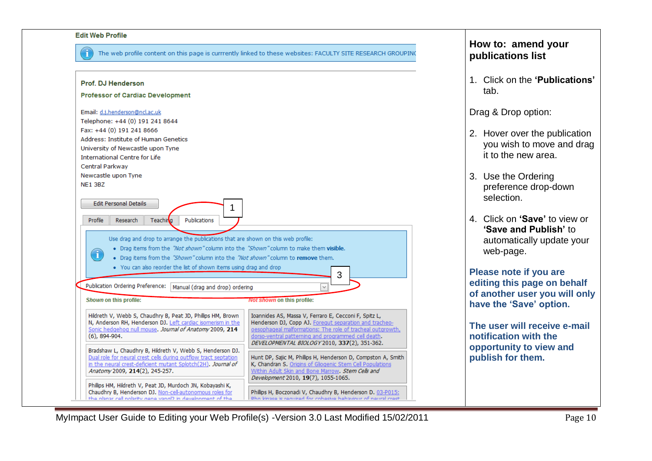#### **Fdit Web Profile**

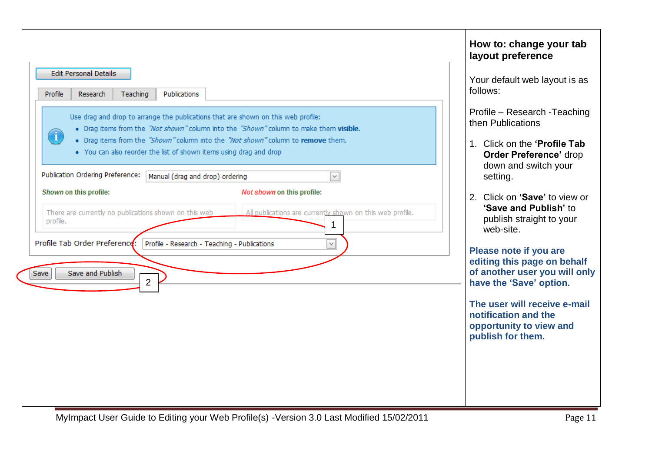|                                                                                                                                                                                                                                                                                                                                                                                                                                                                                                   | How to: change your tab<br>layout preference                                                                                                                                                                                                                                                                                                                                                      |
|---------------------------------------------------------------------------------------------------------------------------------------------------------------------------------------------------------------------------------------------------------------------------------------------------------------------------------------------------------------------------------------------------------------------------------------------------------------------------------------------------|---------------------------------------------------------------------------------------------------------------------------------------------------------------------------------------------------------------------------------------------------------------------------------------------------------------------------------------------------------------------------------------------------|
| <b>Edit Personal Details</b><br>Profile<br>Teaching<br>Publications<br>Research<br>Use drag and drop to arrange the publications that are shown on this web profile:<br>. Drag items from the "Not shown" column into the "Shown" column to make them visible.<br>$\bf (i)$<br>. Drag items from the "Shown" column into the "Not shown" column to remove them.                                                                                                                                   | Your default web layout is as<br>follows:<br>Profile - Research - Teaching<br>then Publications<br>1. Click on the 'Profile Tab                                                                                                                                                                                                                                                                   |
| . You can also reorder the list of shown items using drag and drop<br>Publication Ordering Preference:<br>$\checkmark$<br>Manual (drag and drop) ordering<br>Shown on this profile:<br>Not shown on this profile:<br>There are currently no publications shown on this web<br>All publications are currently shown on this web profile.<br>profile.<br>1<br>Profile Tab Order Preference:<br>Profile - Research - Teaching - Publications<br>$\lor$<br>Save and Publish<br>Save<br>$\overline{2}$ | <b>Order Preference' drop</b><br>down and switch your<br>setting.<br>2. Click on 'Save' to view or<br>'Save and Publish' to<br>publish straight to your<br>web-site.<br>Please note if you are<br>editing this page on behalf<br>of another user you will only<br>have the 'Save' option.<br>The user will receive e-mail<br>notification and the<br>opportunity to view and<br>publish for them. |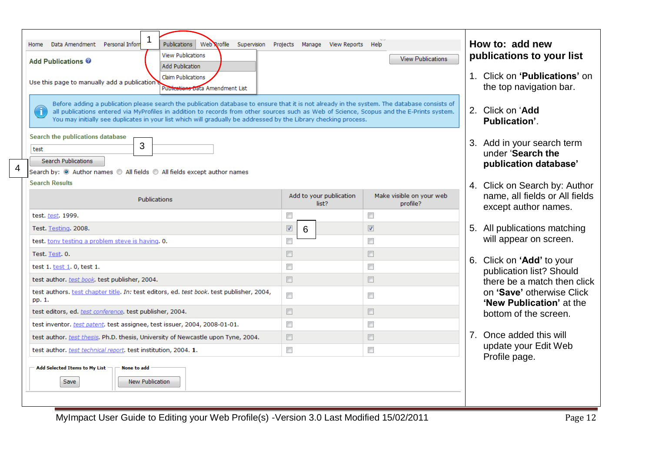|   | Publications<br>Data Amendment Personal Inform<br>Web Rrofile Supervision Projects Manage View Reports Help<br>Home<br><b>View Publications</b><br><b>Add Publications @</b><br><b>Add Publication</b>                                                                                                                                                                                                            | How to: add new<br>publications to your list             |                                                                          |                                                                                         |
|---|-------------------------------------------------------------------------------------------------------------------------------------------------------------------------------------------------------------------------------------------------------------------------------------------------------------------------------------------------------------------------------------------------------------------|----------------------------------------------------------|--------------------------------------------------------------------------|-----------------------------------------------------------------------------------------|
|   | <b>Claim Publications</b><br>Use this page to manually add a publication<br>Publications Data Amendment List                                                                                                                                                                                                                                                                                                      | 1. Click on 'Publications' on<br>the top navigation bar. |                                                                          |                                                                                         |
|   | Before adding a publication please search the publication database to ensure that it is not already in the system. The database consists of<br>Ť<br>all publications entered via MyProfiles in addition to records from other sources such as Web of Science, Scopus and the E-Prints system.<br>You may initially see duplicates in your list which will gradually be addressed by the Library checking process. | 2. Click on 'Add<br>Publication'.                        |                                                                          |                                                                                         |
| 4 | Search the publications database<br>3<br>test<br><b>Search Publications</b><br>Search by: $\circledcirc$ Author names $\circledcirc$ All fields $\circledcirc$ All fields except author names                                                                                                                                                                                                                     |                                                          | 3. Add in your search term<br>under 'Search the<br>publication database' |                                                                                         |
|   | <b>Search Results</b><br>Add to your publication<br>Make visible on your web<br>Publications<br>list?<br>profile?                                                                                                                                                                                                                                                                                                 |                                                          |                                                                          | 4. Click on Search by: Author<br>name, all fields or All fields<br>except author names. |
|   | test. test. 1999.                                                                                                                                                                                                                                                                                                                                                                                                 | $\overline{\phantom{a}}$                                 | $\overline{\mathbb{R}^n}$                                                |                                                                                         |
|   | Test. Testing. 2008.                                                                                                                                                                                                                                                                                                                                                                                              | $\blacktriangledown$<br>6                                | $\triangledown$                                                          | 5. All publications matching                                                            |
|   | test, tony testing a problem steve is having. 0.                                                                                                                                                                                                                                                                                                                                                                  | $\Box$                                                   | $\Box$                                                                   | will appear on screen.                                                                  |
|   | Test. Test. 0.                                                                                                                                                                                                                                                                                                                                                                                                    | $\Box$                                                   | $\blacksquare$                                                           | 6. Click on 'Add' to your                                                               |
|   | test 1. test 1. 0, test 1.                                                                                                                                                                                                                                                                                                                                                                                        | $\Box$                                                   | $\Box$                                                                   | publication list? Should                                                                |
|   | test author. test book. test publisher, 2004.                                                                                                                                                                                                                                                                                                                                                                     | $\Box$                                                   | $\blacksquare$                                                           | there be a match then click                                                             |
|   | test authors. test chapter title. In: test editors, ed. test book. test publisher, 2004,<br>pp. 1.                                                                                                                                                                                                                                                                                                                | $\Box$                                                   | $\Box$                                                                   | on 'Save' otherwise Click                                                               |
|   | test editors, ed. test conference, test publisher, 2004.                                                                                                                                                                                                                                                                                                                                                          | $\Box$                                                   | $\Box$                                                                   | 'New Publication' at the<br>bottom of the screen.                                       |
|   | test inventor. test patent. test assignee, test issuer, 2004, 2008-01-01.                                                                                                                                                                                                                                                                                                                                         | $\Box$                                                   | $\Box$                                                                   |                                                                                         |
|   | test author. test thesis. Ph.D. thesis, University of Newcastle upon Tyne, 2004.                                                                                                                                                                                                                                                                                                                                  | $\Box$                                                   | $\Box$                                                                   | 7. Once added this will                                                                 |
|   | test author. test technical report. test institution, 2004. 1.                                                                                                                                                                                                                                                                                                                                                    | $\Box$                                                   | $\Box$                                                                   | update your Edit Web                                                                    |
|   | Add Selected Items to My List<br><b>None to add</b><br><b>New Publication</b><br>Save                                                                                                                                                                                                                                                                                                                             |                                                          |                                                                          | Profile page.                                                                           |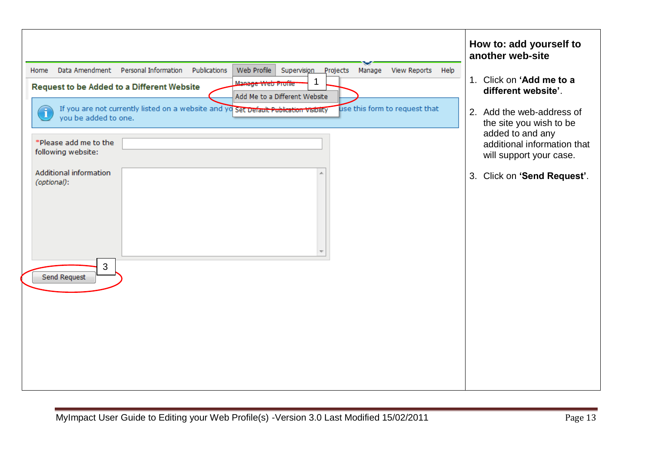| Data Amendment<br>Personal Information<br>Publications<br>Web Profile<br>Supervision Projects<br>View Reports<br>Manage<br>Home<br>Help<br>-1<br>Manage Web Profile<br><b>Request to be Added to a Different Website</b><br>Add Me to a Different Website<br>If you are not currently listed on a website and yo Set Default Publication Visibility<br>use this form to request that<br>i<br>you be added to one. | How to: add yourself to<br>another web-site<br>1. Click on 'Add me to a<br>different website'.<br>2. Add the web-address of          |
|-------------------------------------------------------------------------------------------------------------------------------------------------------------------------------------------------------------------------------------------------------------------------------------------------------------------------------------------------------------------------------------------------------------------|--------------------------------------------------------------------------------------------------------------------------------------|
| *Please add me to the<br>following website:<br>Additional information<br>(optional):                                                                                                                                                                                                                                                                                                                              | the site you wish to be<br>added to and any<br>additional information that<br>will support your case.<br>3. Click on 'Send Request'. |
| 3<br>Send Request                                                                                                                                                                                                                                                                                                                                                                                                 |                                                                                                                                      |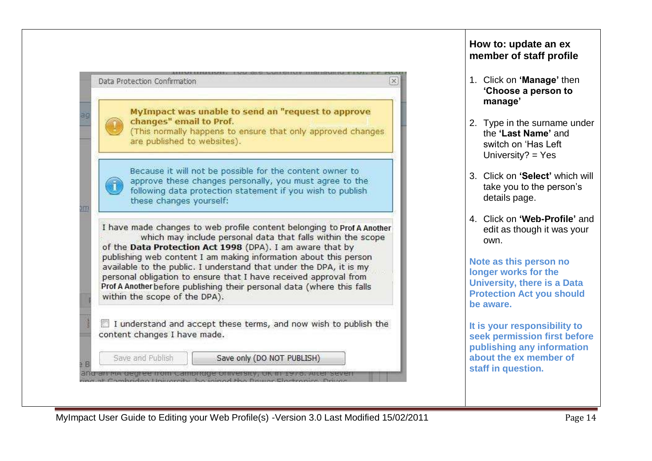

Save and Publish

and an ina degree from campridge onliversity, on in 1978.

Save only (DO NOT PUBLISH)

## **How to: update an ex member of staff profile**

- 1. Click on **"Manage"** then **"Choose a person to manage"**
- 2. Type in the surname under the **"Last Name"** and switch on "Has Left University?  $=$  Yes
- 3. Click on **"Select"** which will take you to the person"s details page.
- 4. Click on **"Web-Profile"** and edit as though it was your own.

**Note as this person no longer works for the University, there is a Data Protection Act you should be aware.**

**It is your responsibility to seek permission first before publishing any information about the ex member of staff in question.**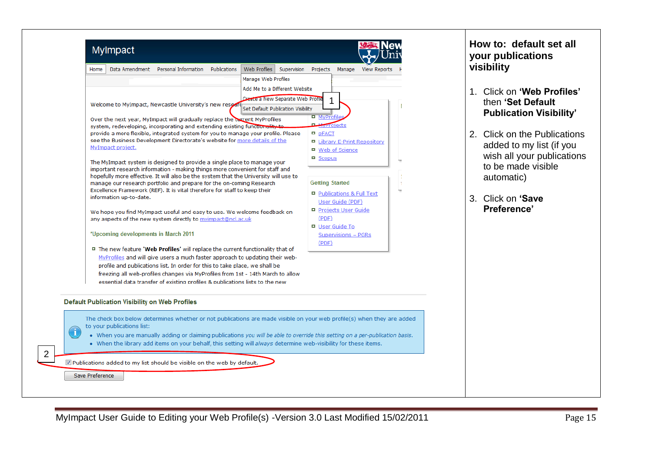| <b>Mylmpact</b>                                                                                                                                                                                                                                                                                                                                                                                                                                                                                                                                                                                                                                                                                                                                                                                                                                                                                                                                                                                                                                                                                                                                                                                                                                                                                                                                                                                                                                                                                                                                                                     |                                                                                                                                                                         |                                                                                                                                                                                                                                                                                                                                    | How to: default set all<br>your publications<br>visibility                                                                                                                                                                                                  |
|-------------------------------------------------------------------------------------------------------------------------------------------------------------------------------------------------------------------------------------------------------------------------------------------------------------------------------------------------------------------------------------------------------------------------------------------------------------------------------------------------------------------------------------------------------------------------------------------------------------------------------------------------------------------------------------------------------------------------------------------------------------------------------------------------------------------------------------------------------------------------------------------------------------------------------------------------------------------------------------------------------------------------------------------------------------------------------------------------------------------------------------------------------------------------------------------------------------------------------------------------------------------------------------------------------------------------------------------------------------------------------------------------------------------------------------------------------------------------------------------------------------------------------------------------------------------------------------|-------------------------------------------------------------------------------------------------------------------------------------------------------------------------|------------------------------------------------------------------------------------------------------------------------------------------------------------------------------------------------------------------------------------------------------------------------------------------------------------------------------------|-------------------------------------------------------------------------------------------------------------------------------------------------------------------------------------------------------------------------------------------------------------|
| Personal Information<br>Data Amendment<br>Publications<br>Home<br>Welcome to MyImpact, Newcastle University's new reseal<br>Over the next year, MyImpact will gradually replace the corrent MyProfiles<br>system, redeveloping, incorporating and extending existing functionality to<br>provide a more flexible, integrated system for you to manage your profile. Please<br>see the Business Development Directorate's website for more details of the<br>MyImpact project.<br>The MyImpact system is designed to provide a single place to manage your<br>important research information - making things more convenient for staff and<br>hopefully more effective. It will also be the system that the University will use to<br>manage our research portfolio and prepare for the on-coming Research<br>Excellence Framework (REF). It is vital therefore for staff to keep their<br>information up-to-date.<br>We hope you find MyImpact useful and easy to use. We welcome feedback on<br>any aspects of the new system directly to myimpact@ncl.ac.uk<br>*Upcoming developments in March 2011<br>□ The new feature 'Web Profiles' will replace the current functionality that of<br>MyProfiles and will give users a much faster approach to updating their web-<br>profile and publications list. In order for this to take place, we shall be<br>freezing all web-profiles changes via MyProfiles from 1st - 14th March to allow<br>essential data transfer of existing profiles & publications lists to the new<br><b>Default Publication Visibility on Web Profiles</b> | Web Profiles<br>Supervision Projects<br>Manage Web Profiles<br>Add Me to a Different Website<br>Create a New Separate Web Profile<br>Set Default Publication Visibility | Manage<br>View Reports<br><b>D</b> MyProfile<br>Projects<br><b>P</b> pFACT<br>□ Library E-Print Repository<br>□ Web of Science<br>$\blacksquare$ Scopus<br><b>Getting Started</b><br>Publications & Full Text<br>User Guide (PDF)<br>Projects User Guide<br>(PDF)<br><b>D</b> User Guide To<br><b>Supervisions - PGRs</b><br>(PDF) | Click on 'Web Profiles'<br>$1_{-}$<br>then 'Set Default<br><b>Publication Visibility'</b><br>2. Click on the Publications<br>added to my list (if you<br>wish all your publications<br>to be made visible<br>automatic)<br>3. Click on 'Save<br>Preference' |
| The check box below determines whether or not publications are made visible on your web profile(s) when they are added<br>to your publications list:<br>$\mathbf{I}$<br>. When you are manually adding or claiming publications you will be able to override this setting on a per-publication basis.<br>. When the library add items on your behalf, this setting will always determine web-visibility for these items.<br>■ Publications added to my list should be visible on the web by default.<br>Save Preference                                                                                                                                                                                                                                                                                                                                                                                                                                                                                                                                                                                                                                                                                                                                                                                                                                                                                                                                                                                                                                                             |                                                                                                                                                                         |                                                                                                                                                                                                                                                                                                                                    |                                                                                                                                                                                                                                                             |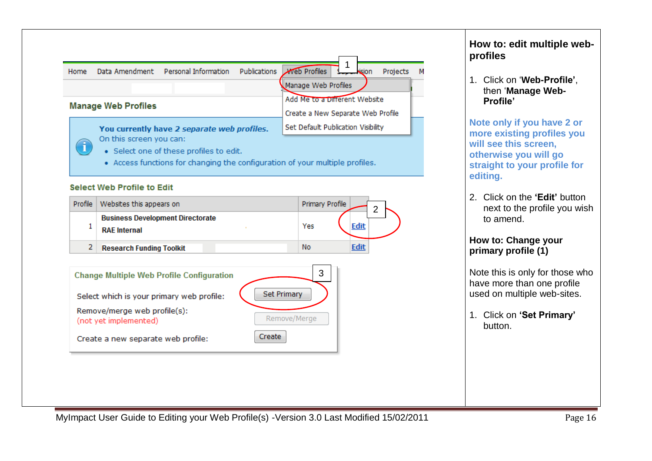

- · Select one of these profiles to edit.
- Access functions for changing the configuration of your multiple profiles.

#### Select Web Profile to Edit

| Profile | Websites this appears on                                       | <b>Primary Profile</b><br>⌒ |
|---------|----------------------------------------------------------------|-----------------------------|
|         | <b>Business Development Directorate</b><br><b>RAE</b> Internal | Yes                         |
|         | <b>Research Funding Toolkit</b>                                | No                          |



**How to: edit multiple webprofiles**

1. Click on "**Web-Profile"**, then "**Manage Web-Profile"**

**Note only if you have 2 or more existing profiles you will see this screen, otherwise you will go straight to your profile for editing.**

2. Click on the **"Edit"** button next to the profile you wish to amend.

#### **How to: Change your primary profile (1)**

Note this is only for those who have more than one profile used on multiple web-sites.

1. Click on **"Set Primary"** button.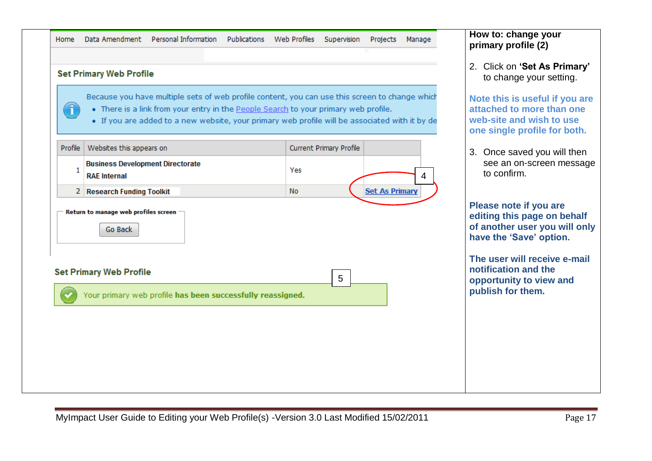| Home Data Amendment Personal Information Publications Web Profiles Supervision Projects Manage |  |  |  |  |  |  |  |  |
|------------------------------------------------------------------------------------------------|--|--|--|--|--|--|--|--|
|------------------------------------------------------------------------------------------------|--|--|--|--|--|--|--|--|

#### **Set Primary Web Profile** Because you have multiple sets of web profile content, you can use this screen to change which f . There is a link from your entry in the People Search to your primary web profile. • If you are added to a new website, your primary web profile will be associated with it by de Websites this appears on **Current Primary Profile** Profile **Business Development Directorate**  $\mathbf{1}$ Yes **RAF Internal** 4 2 Research Funding Toolkit **No Set As Primary** Return to manage web profiles screen **Go Back Set Primary Web Profile** 5

**How to: change your primary profile (2)**

2. Click on **"Set As Primary"** to change your setting.

**Note this is useful if you are attached to more than one web-site and wish to use one single profile for both.**

3. Once saved you will then see an on-screen message to confirm.

**Please note if you are editing this page on behalf of another user you will only have the "Save" option.** 

**The user will receive e-mail notification and the opportunity to view and publish for them.**

Your primary web profile has been successfully reassigned.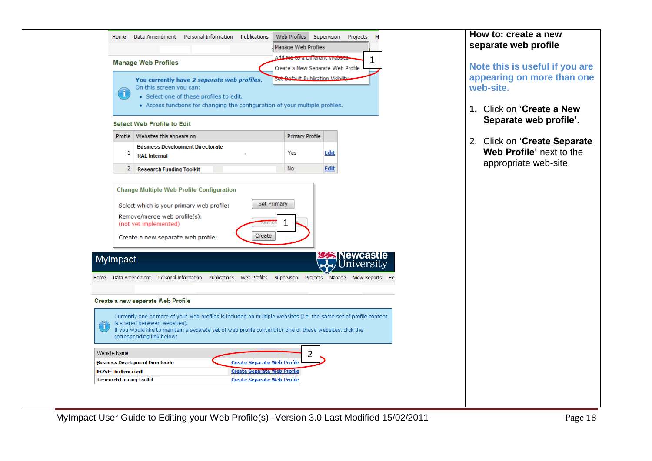| <b>Manage Web Profiles</b><br>Note this is useful if you are<br>Create a New Separate Web Profile<br>appearing on more than one<br>Set Befault Publication Visibility<br>You currently have 2 separate web profiles.<br>web-site.<br>On this screen you can:<br>î<br>· Select one of these profiles to edit.<br>• Access functions for changing the configuration of your multiple profiles.<br>1. Click on 'Create a New<br>Separate web profile'.<br><b>Select Web Profile to Edit</b><br>Profile   Websites this appears on<br>Primary Profile<br>2. Click on 'Create Separate<br><b>Business Development Directorate</b><br>Web Profile' next to the<br>Yes<br><b>Edit</b><br>1<br><b>RAE Internal</b><br>appropriate web-site.<br><b>Edit</b><br><b>No</b><br>2 Research Funding Toolkit<br><b>Change Multiple Web Profile Configuration</b><br>Set Primary<br>Select which is your primary web profile:<br>Remove/merge web profile(s):<br>(not yet implemented)<br>₹er<br>Create<br>Create a new separate web profile:<br><b>Newcastle</b><br>MyImpact<br>Jniversity<br>Data Amendment Personal Information Publications Web Profiles Supervision<br>Projects<br>Manage<br>View Reports<br>Home<br>Create a new seperate Web Profile<br>Currently one or more of your web profiles is included on multiple websites (i.e. the same set of profile content<br>is shared between websites).<br>$\mathbf{I}$<br>If you would like to maintain a separate set of web profile content for one of these websites, click the<br>corresponding link below:<br>Website Name<br>2<br><b>Business Development Directorate</b><br><b>Create Separate Web Profile</b><br><b>Create Separate Web Profile</b><br><b>RAE</b> Internal<br><b>Create Separate Web Profile</b><br><b>Research Funding Toolkit</b> | Web Profiles<br>Data Amendment Personal Information<br>Publications<br>Supervision<br>Projects<br>Home<br>М<br>Manage Web Profiles<br>Add Me to a Dirierent website | How to: create a new<br>separate web profile |
|-------------------------------------------------------------------------------------------------------------------------------------------------------------------------------------------------------------------------------------------------------------------------------------------------------------------------------------------------------------------------------------------------------------------------------------------------------------------------------------------------------------------------------------------------------------------------------------------------------------------------------------------------------------------------------------------------------------------------------------------------------------------------------------------------------------------------------------------------------------------------------------------------------------------------------------------------------------------------------------------------------------------------------------------------------------------------------------------------------------------------------------------------------------------------------------------------------------------------------------------------------------------------------------------------------------------------------------------------------------------------------------------------------------------------------------------------------------------------------------------------------------------------------------------------------------------------------------------------------------------------------------------------------------------------------------------------------------------------------------------------------------------------------------------------------|---------------------------------------------------------------------------------------------------------------------------------------------------------------------|----------------------------------------------|
|                                                                                                                                                                                                                                                                                                                                                                                                                                                                                                                                                                                                                                                                                                                                                                                                                                                                                                                                                                                                                                                                                                                                                                                                                                                                                                                                                                                                                                                                                                                                                                                                                                                                                                                                                                                                       |                                                                                                                                                                     |                                              |
|                                                                                                                                                                                                                                                                                                                                                                                                                                                                                                                                                                                                                                                                                                                                                                                                                                                                                                                                                                                                                                                                                                                                                                                                                                                                                                                                                                                                                                                                                                                                                                                                                                                                                                                                                                                                       |                                                                                                                                                                     |                                              |
|                                                                                                                                                                                                                                                                                                                                                                                                                                                                                                                                                                                                                                                                                                                                                                                                                                                                                                                                                                                                                                                                                                                                                                                                                                                                                                                                                                                                                                                                                                                                                                                                                                                                                                                                                                                                       |                                                                                                                                                                     |                                              |
|                                                                                                                                                                                                                                                                                                                                                                                                                                                                                                                                                                                                                                                                                                                                                                                                                                                                                                                                                                                                                                                                                                                                                                                                                                                                                                                                                                                                                                                                                                                                                                                                                                                                                                                                                                                                       |                                                                                                                                                                     |                                              |
|                                                                                                                                                                                                                                                                                                                                                                                                                                                                                                                                                                                                                                                                                                                                                                                                                                                                                                                                                                                                                                                                                                                                                                                                                                                                                                                                                                                                                                                                                                                                                                                                                                                                                                                                                                                                       |                                                                                                                                                                     |                                              |
|                                                                                                                                                                                                                                                                                                                                                                                                                                                                                                                                                                                                                                                                                                                                                                                                                                                                                                                                                                                                                                                                                                                                                                                                                                                                                                                                                                                                                                                                                                                                                                                                                                                                                                                                                                                                       |                                                                                                                                                                     |                                              |
|                                                                                                                                                                                                                                                                                                                                                                                                                                                                                                                                                                                                                                                                                                                                                                                                                                                                                                                                                                                                                                                                                                                                                                                                                                                                                                                                                                                                                                                                                                                                                                                                                                                                                                                                                                                                       |                                                                                                                                                                     |                                              |
|                                                                                                                                                                                                                                                                                                                                                                                                                                                                                                                                                                                                                                                                                                                                                                                                                                                                                                                                                                                                                                                                                                                                                                                                                                                                                                                                                                                                                                                                                                                                                                                                                                                                                                                                                                                                       |                                                                                                                                                                     |                                              |
|                                                                                                                                                                                                                                                                                                                                                                                                                                                                                                                                                                                                                                                                                                                                                                                                                                                                                                                                                                                                                                                                                                                                                                                                                                                                                                                                                                                                                                                                                                                                                                                                                                                                                                                                                                                                       |                                                                                                                                                                     |                                              |
|                                                                                                                                                                                                                                                                                                                                                                                                                                                                                                                                                                                                                                                                                                                                                                                                                                                                                                                                                                                                                                                                                                                                                                                                                                                                                                                                                                                                                                                                                                                                                                                                                                                                                                                                                                                                       |                                                                                                                                                                     |                                              |